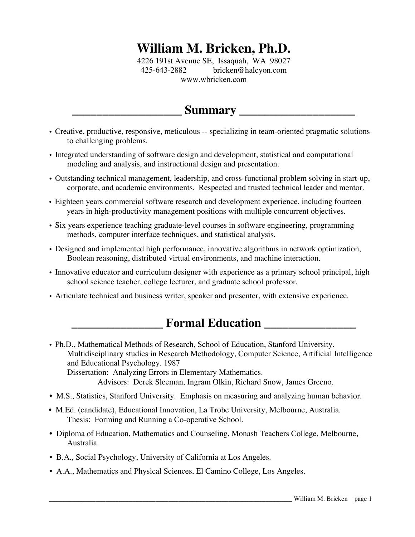# **William M. Bricken, Ph.D.**

4226 191st Avenue SE, Issaquah, WA 98027 425-643-2882 bricken@halcyon.com www.wbricken.com

# **\_\_\_\_\_\_\_\_\_\_\_\_\_\_\_\_\_\_ Summary \_\_\_\_\_\_\_\_\_\_\_\_\_\_\_\_\_\_\_**

- Creative, productive, responsive, meticulous -- specializing in team-oriented pragmatic solutions to challenging problems.
- Integrated understanding of software design and development, statistical and computational modeling and analysis, and instructional design and presentation.
- Outstanding technical management, leadership, and cross-functional problem solving in start-up, corporate, and academic environments. Respected and trusted technical leader and mentor.
- Eighteen years commercial software research and development experience, including fourteen years in high-productivity management positions with multiple concurrent objectives.
- Six years experience teaching graduate-level courses in software engineering, programming methods, computer interface techniques, and statistical analysis.
- Designed and implemented high performance, innovative algorithms in network optimization, Boolean reasoning, distributed virtual environments, and machine interaction.
- Innovative educator and curriculum designer with experience as a primary school principal, high school science teacher, college lecturer, and graduate school professor.
- Articulate technical and business writer, speaker and presenter, with extensive experience.

# **Formal Education \_\_\_\_\_\_\_\_\_\_\_\_\_\_\_**

- Ph.D., Mathematical Methods of Research, School of Education, Stanford University. Multidisciplinary studies in Research Methodology, Computer Science, Artificial Intelligence and Educational Psychology. 1987 Dissertation: Analyzing Errors in Elementary Mathematics. Advisors: Derek Sleeman, Ingram Olkin, Richard Snow, James Greeno.
- M.S., Statistics, Stanford University. Emphasis on measuring and analyzing human behavior.
- M.Ed. (candidate), Educational Innovation, La Trobe University, Melbourne, Australia. Thesis: Forming and Running a Co-operative School.
- Diploma of Education, Mathematics and Counseling, Monash Teachers College, Melbourne, Australia.
- B.A., Social Psychology, University of California at Los Angeles.
- A.A., Mathematics and Physical Sciences, El Camino College, Los Angeles.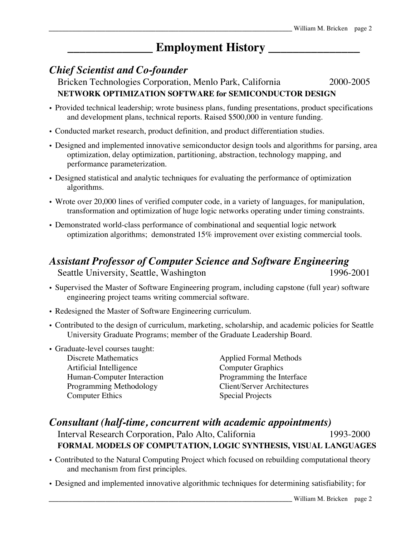# **Employment History**

### *Chief Scientist and Co-founder*

Bricken Technologies Corporation, Menlo Park, California 2000-2005 **NETWORK OPTIMIZATION SOFTWARE for SEMICONDUCTOR DESIGN**

- Provided technical leadership; wrote business plans, funding presentations, product specifications and development plans, technical reports. Raised \$500,000 in venture funding.
- Conducted market research, product definition, and product differentiation studies.
- Designed and implemented innovative semiconductor design tools and algorithms for parsing, area optimization, delay optimization, partitioning, abstraction, technology mapping, and performance parameterization.
- Designed statistical and analytic techniques for evaluating the performance of optimization algorithms.
- Wrote over 20,000 lines of verified computer code, in a variety of languages, for manipulation, transformation and optimization of huge logic networks operating under timing constraints.
- Demonstrated world-class performance of combinational and sequential logic network optimization algorithms; demonstrated 15% improvement over existing commercial tools.

# *Assistant Professor of Computer Science and Software Engineering*

Seattle University, Seattle, Washington 1996-2001

- Supervised the Master of Software Engineering program, including capstone (full year) software engineering project teams writing commercial software.
- Redesigned the Master of Software Engineering curriculum.
- Contributed to the design of curriculum, marketing, scholarship, and academic policies for Seattle University Graduate Programs; member of the Graduate Leadership Board.
- Graduate-level courses taught:
	- Artificial Intelligence Computer Graphics Human-Computer Interaction Programming the Interface Programming Methodology Client/Server Architectures **Computer Ethics** Special Projects

Applied Formal Methods

### *Consultant (half-time, concurrent with academic appointments)* Interval Research Corporation, Palo Alto, California 1993-2000 **FORMAL MODELS OF COMPUTATION, LOGIC SYNTHESIS, VISUAL LANGUAGES**

- Contributed to the Natural Computing Project which focused on rebuilding computational theory and mechanism from first principles.
- Designed and implemented innovative algorithmic techniques for determining satisfiability; for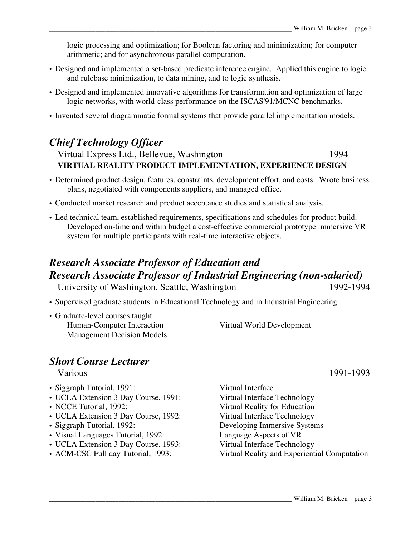logic processing and optimization; for Boolean factoring and minimization; for computer arithmetic; and for asynchronous parallel computation.

- Designed and implemented a set-based predicate inference engine. Applied this engine to logic and rulebase minimization, to data mining, and to logic synthesis.
- Designed and implemented innovative algorithms for transformation and optimization of large logic networks, with world-class performance on the ISCAS'91/MCNC benchmarks.
- Invented several diagrammatic formal systems that provide parallel implementation models.

### *Chief Technology Officer*

### Virtual Express Ltd., Bellevue, Washington 1994 **VIRTUAL REALITY PRODUCT IMPLEMENTATION, EXPERIENCE DESIGN**

- Determined product design, features, constraints, development effort, and costs. Wrote business plans, negotiated with components suppliers, and managed office.
- Conducted market research and product acceptance studies and statistical analysis.
- Led technical team, established requirements, specifications and schedules for product build. Developed on-time and within budget a cost-effective commercial prototype immersive VR system for multiple participants with real-time interactive objects.

# *Research Associate Professor of Education and Research Associate Professor of Industrial Engineering (non-salaried)*

University of Washington, Seattle, Washington 1992-1994

- Supervised graduate students in Educational Technology and in Industrial Engineering.
- Graduate-level courses taught:
	- Human-Computer Interaction Virtual World Development Management Decision Models

### *Short Course Lecturer*

- Siggraph Tutorial, 1991: Virtual Interface
- UCLA Extension 3 Day Course, 1991: Virtual Interface Technology
- 
- UCLA Extension 3 Day Course, 1992: Virtual Interface Technology
- 
- Visual Languages Tutorial, 1992:
- UCLA Extension 3 Day Course, 1993: Virtual Interface Technology
- 

• NCCE Tutorial, 1992: Virtual Reality for Education • Siggraph Tutorial, 1992: Developing Immersive Systems<br>• Visual Languages Tutorial, 1992: Language Aspects of VR • ACM-CSC Full day Tutorial, 1993: Virtual Reality and Experiential Computation

Various 1991-1993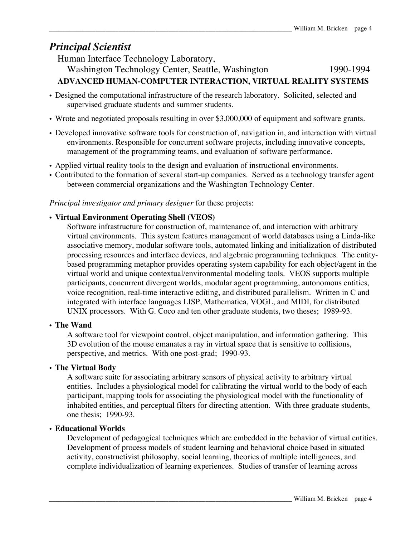### *Principal Scientist*

Human Interface Technology Laboratory, Washington Technology Center, Seattle, Washington 1990-1994 **ADVANCED HUMAN-COMPUTER INTERACTION, VIRTUAL REALITY SYSTEMS**

- Designed the computational infrastructure of the research laboratory. Solicited, selected and supervised graduate students and summer students.
- Wrote and negotiated proposals resulting in over \$3,000,000 of equipment and software grants.
- Developed innovative software tools for construction of, navigation in, and interaction with virtual environments. Responsible for concurrent software projects, including innovative concepts, management of the programming teams, and evaluation of software performance.
- Applied virtual reality tools to the design and evaluation of instructional environments.
- Contributed to the formation of several start-up companies. Served as a technology transfer agent between commercial organizations and the Washington Technology Center.

*Principal investigator and primary designer* for these projects:

#### • **Virtual Environment Operating Shell (VEOS)**

Software infrastructure for construction of, maintenance of, and interaction with arbitrary virtual environments. This system features management of world databases using a Linda-like associative memory, modular software tools, automated linking and initialization of distributed processing resources and interface devices, and algebraic programming techniques. The entitybased programming metaphor provides operating system capability for each object/agent in the virtual world and unique contextual/environmental modeling tools. VEOS supports multiple participants, concurrent divergent worlds, modular agent programming, autonomous entities, voice recognition, real-time interactive editing, and distributed parallelism. Written in C and integrated with interface languages LISP, Mathematica, VOGL, and MIDI, for distributed UNIX processors. With G. Coco and ten other graduate students, two theses; 1989-93.

#### • **The Wand**

A software tool for viewpoint control, object manipulation, and information gathering. This 3D evolution of the mouse emanates a ray in virtual space that is sensitive to collisions, perspective, and metrics. With one post-grad; 1990-93.

#### • **The Virtual Body**

A software suite for associating arbitrary sensors of physical activity to arbitrary virtual entities. Includes a physiological model for calibrating the virtual world to the body of each participant, mapping tools for associating the physiological model with the functionality of inhabited entities, and perceptual filters for directing attention. With three graduate students, one thesis; 1990-93.

#### • **Educational Worlds**

Development of pedagogical techniques which are embedded in the behavior of virtual entities. Development of process models of student learning and behavioral choice based in situated activity, constructivist philosophy, social learning, theories of multiple intelligences, and complete individualization of learning experiences. Studies of transfer of learning across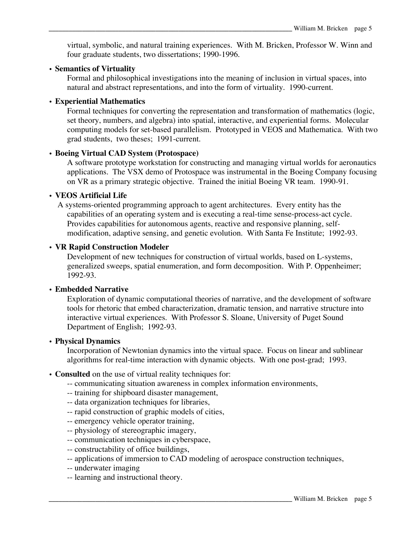virtual, symbolic, and natural training experiences. With M. Bricken, Professor W. Winn and four graduate students, two dissertations; 1990-1996.

#### • **Semantics of Virtuality**

Formal and philosophical investigations into the meaning of inclusion in virtual spaces, into natural and abstract representations, and into the form of virtuality. 1990-current.

#### • **Experiential Mathematics**

Formal techniques for converting the representation and transformation of mathematics (logic, set theory, numbers, and algebra) into spatial, interactive, and experiential forms. Molecular computing models for set-based parallelism. Prototyped in VEOS and Mathematica. With two grad students, two theses; 1991-current.

#### • **Boeing Virtual CAD System (Protospace)**

A software prototype workstation for constructing and managing virtual worlds for aeronautics applications. The VSX demo of Protospace was instrumental in the Boeing Company focusing on VR as a primary strategic objective. Trained the initial Boeing VR team. 1990-91.

#### • **VEOS Artificial Life**

A systems-oriented programming approach to agent architectures. Every entity has the capabilities of an operating system and is executing a real-time sense-process-act cycle. Provides capabilities for autonomous agents, reactive and responsive planning, selfmodification, adaptive sensing, and genetic evolution. With Santa Fe Institute; 1992-93.

#### • **VR Rapid Construction Modeler**

Development of new techniques for construction of virtual worlds, based on L-systems, generalized sweeps, spatial enumeration, and form decomposition. With P. Oppenheimer; 1992-93.

#### • **Embedded Narrative**

Exploration of dynamic computational theories of narrative, and the development of software tools for rhetoric that embed characterization, dramatic tension, and narrative structure into interactive virtual experiences. With Professor S. Sloane, University of Puget Sound Department of English; 1992-93.

#### • **Physical Dynamics**

Incorporation of Newtonian dynamics into the virtual space. Focus on linear and sublinear algorithms for real-time interaction with dynamic objects. With one post-grad; 1993.

#### • **Consulted** on the use of virtual reality techniques for:

- -- communicating situation awareness in complex information environments,
- -- training for shipboard disaster management,
- -- data organization techniques for libraries,
- -- rapid construction of graphic models of cities,
- -- emergency vehicle operator training,
- -- physiology of stereographic imagery,
- -- communication techniques in cyberspace,
- -- constructability of office buildings,
- -- applications of immersion to CAD modeling of aerospace construction techniques,
- -- underwater imaging
- -- learning and instructional theory.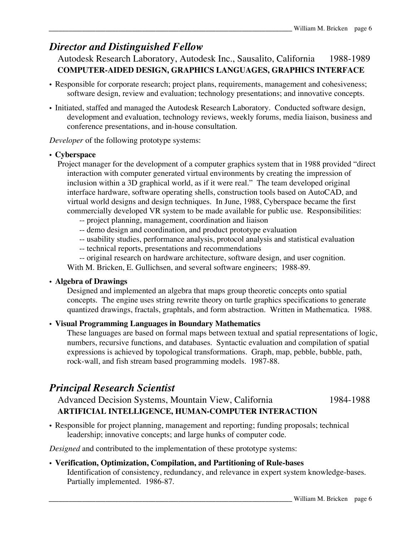### *Director and Distinguished Fellow*

Autodesk Research Laboratory, Autodesk Inc., Sausalito, California 1988-1989 **COMPUTER-AIDED DESIGN, GRAPHICS LANGUAGES, GRAPHICS INTERFACE**

- Responsible for corporate research; project plans, requirements, management and cohesiveness; software design, review and evaluation; technology presentations; and innovative concepts.
- Initiated, staffed and managed the Autodesk Research Laboratory. Conducted software design, development and evaluation, technology reviews, weekly forums, media liaison, business and conference presentations, and in-house consultation.

*Developer* of the following prototype systems:

#### • **Cyberspace**

- Project manager for the development of a computer graphics system that in 1988 provided "direct interaction with computer generated virtual environments by creating the impression of inclusion within a 3D graphical world, as if it were real." The team developed original interface hardware, software operating shells, construction tools based on AutoCAD, and virtual world designs and design techniques. In June, 1988, Cyberspace became the first commercially developed VR system to be made available for public use. Responsibilities:
	- -- project planning, management, coordination and liaison
	- -- demo design and coordination, and product prototype evaluation
	- -- usability studies, performance analysis, protocol analysis and statistical evaluation
	- -- technical reports, presentations and recommendations
	- -- original research on hardware architecture, software design, and user cognition.

With M. Bricken, E. Gullichsen, and several software engineers; 1988-89.

#### • **Algebra of Drawings**

Designed and implemented an algebra that maps group theoretic concepts onto spatial concepts. The engine uses string rewrite theory on turtle graphics specifications to generate quantized drawings, fractals, graphtals, and form abstraction. Written in Mathematica. 1988.

#### • **Visual Programming Languages in Boundary Mathematics**

These languages are based on formal maps between textual and spatial representations of logic, numbers, recursive functions, and databases. Syntactic evaluation and compilation of spatial expressions is achieved by topological transformations. Graph, map, pebble, bubble, path, rock-wall, and fish stream based programming models. 1987-88.

### *Principal Research Scientist*

Advanced Decision Systems, Mountain View, California 1984-1988 **ARTIFICIAL INTELLIGENCE, HUMAN-COMPUTER INTERACTION**

• Responsible for project planning, management and reporting; funding proposals; technical leadership; innovative concepts; and large hunks of computer code.

*Designed* and contributed to the implementation of these prototype systems:

#### • **Verification, Optimization, Compilation, and Partitioning of Rule-bases**

Identification of consistency, redundancy, and relevance in expert system knowledge-bases. Partially implemented. 1986-87.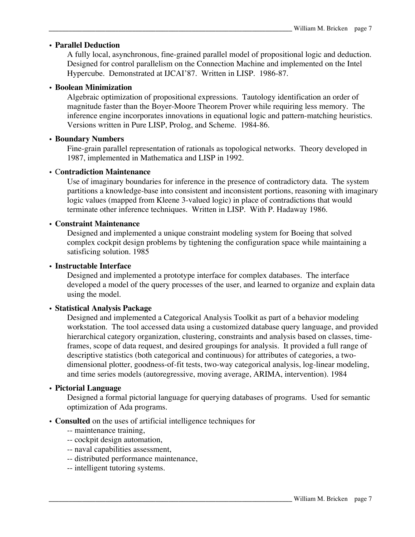#### • **Parallel Deduction**

A fully local, asynchronous, fine-grained parallel model of propositional logic and deduction. Designed for control parallelism on the Connection Machine and implemented on the Intel Hypercube. Demonstrated at IJCAI'87. Written in LISP. 1986-87.

#### • **Boolean Minimization**

Algebraic optimization of propositional expressions. Tautology identification an order of magnitude faster than the Boyer-Moore Theorem Prover while requiring less memory. The inference engine incorporates innovations in equational logic and pattern-matching heuristics. Versions written in Pure LISP, Prolog, and Scheme. 1984-86.

#### • **Boundary Numbers**

Fine-grain parallel representation of rationals as topological networks. Theory developed in 1987, implemented in Mathematica and LISP in 1992.

#### • C**ontradiction Maintenance**

Use of imaginary boundaries for inference in the presence of contradictory data. The system partitions a knowledge-base into consistent and inconsistent portions, reasoning with imaginary logic values (mapped from Kleene 3-valued logic) in place of contradictions that would terminate other inference techniques. Written in LISP. With P. Hadaway 1986.

#### • **Constraint Maintenance**

Designed and implemented a unique constraint modeling system for Boeing that solved complex cockpit design problems by tightening the configuration space while maintaining a satisficing solution. 1985

#### • **Instructable Interface**

Designed and implemented a prototype interface for complex databases. The interface developed a model of the query processes of the user, and learned to organize and explain data using the model.

#### • **Statistical Analysis Package**

Designed and implemented a Categorical Analysis Toolkit as part of a behavior modeling workstation. The tool accessed data using a customized database query language, and provided hierarchical category organization, clustering, constraints and analysis based on classes, timeframes, scope of data request, and desired groupings for analysis. It provided a full range of descriptive statistics (both categorical and continuous) for attributes of categories, a twodimensional plotter, goodness-of-fit tests, two-way categorical analysis, log-linear modeling, and time series models (autoregressive, moving average, ARIMA, intervention). 1984

#### • **Pictorial Language**

Designed a formal pictorial language for querying databases of programs. Used for semantic optimization of Ada programs.

- **Consulted** on the uses of artificial intelligence techniques for
	- -- maintenance training,
	- -- cockpit design automation,
	- -- naval capabilities assessment,
	- -- distributed performance maintenance,
	- -- intelligent tutoring systems.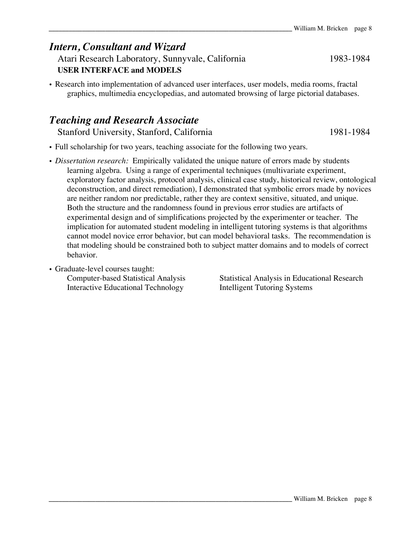### *Intern, Consultant and Wizard*

Atari Research Laboratory, Sunnyvale, California 1983-1984 **USER INTERFACE and MODELS**

• Research into implementation of advanced user interfaces, user models, media rooms, fractal graphics, multimedia encyclopedias, and automated browsing of large pictorial databases.

### *Teaching and Research Associate*

Stanford University, Stanford, California 1981-1984

- Full scholarship for two years, teaching associate for the following two years.
- *Dissertation research:* Empirically validated the unique nature of errors made by students learning algebra. Using a range of experimental techniques (multivariate experiment, exploratory factor analysis, protocol analysis, clinical case study, historical review, ontological deconstruction, and direct remediation), I demonstrated that symbolic errors made by novices are neither random nor predictable, rather they are context sensitive, situated, and unique. Both the structure and the randomness found in previous error studies are artifacts of experimental design and of simplifications projected by the experimenter or teacher. The implication for automated student modeling in intelligent tutoring systems is that algorithms cannot model novice error behavior, but can model behavioral tasks. The recommendation is that modeling should be constrained both to subject matter domains and to models of correct behavior.
- Graduate-level courses taught:

Interactive Educational Technology Intelligent Tutoring Systems

Computer-based Statistical Analysis Statistical Analysis in Educational Research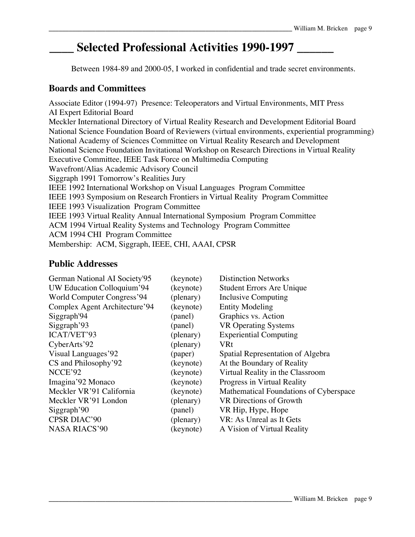# **\_\_\_\_ Selected Professional Activities 1990-1997 \_\_\_\_\_\_**

Between 1984-89 and 2000-05, I worked in confidential and trade secret environments.

#### **Boards and Committees**

Associate Editor (1994-97) Presence: Teleoperators and Virtual Environments, MIT Press AI Expert Editorial Board Meckler International Directory of Virtual Reality Research and Development Editorial Board National Science Foundation Board of Reviewers (virtual environments, experiential programming) National Academy of Sciences Committee on Virtual Reality Research and Development National Science Foundation Invitational Workshop on Research Directions in Virtual Reality Executive Committee, IEEE Task Force on Multimedia Computing Wavefront/Alias Academic Advisory Council Siggraph 1991 Tomorrow's Realities Jury IEEE 1992 International Workshop on Visual Languages Program Committee IEEE 1993 Symposium on Research Frontiers in Virtual Reality Program Committee IEEE 1993 Visualization Program Committee IEEE 1993 Virtual Reality Annual International Symposium Program Committee ACM 1994 Virtual Reality Systems and Technology Program Committee ACM 1994 CHI Program Committee Membership: ACM, Siggraph, IEEE, CHI, AAAI, CPSR

### **Public Addresses**

| German National AI Society'95 | (keynote) | <b>Distinction Networks</b>            |
|-------------------------------|-----------|----------------------------------------|
| UW Education Colloquium'94    | (keynote) | <b>Student Errors Are Unique</b>       |
| World Computer Congress'94    | (plenary) | Inclusive Computing                    |
| Complex Agent Architecture'94 | (keynote) | <b>Entity Modeling</b>                 |
| Siggraph <sup>'94</sup>       | (panel)   | Graphics vs. Action                    |
| Siggraph'93                   | (panel)   | <b>VR Operating Systems</b>            |
| ICAT/VET'93                   | (plenary) | <b>Experiential Computing</b>          |
| CyberArts'92                  | (plenary) | <b>VRt</b>                             |
| Visual Languages'92           | (paper)   | Spatial Representation of Algebra      |
| CS and Philosophy'92          | (keynote) | At the Boundary of Reality             |
| NCCE'92                       | (keynote) | Virtual Reality in the Classroom       |
| Imagina'92 Monaco             | (keynote) | Progress in Virtual Reality            |
| Meckler VR'91 California      | (keynote) | Mathematical Foundations of Cyberspace |
| Meckler VR'91 London          | (plenary) | VR Directions of Growth                |
| Siggraph <sup>'90</sup>       | (panel)   | VR Hip, Hype, Hope                     |
| CPSR DIAC'90                  | (plenary) | VR: As Unreal as It Gets               |
| <b>NASA RIACS'90</b>          | (keynote) | A Vision of Virtual Reality            |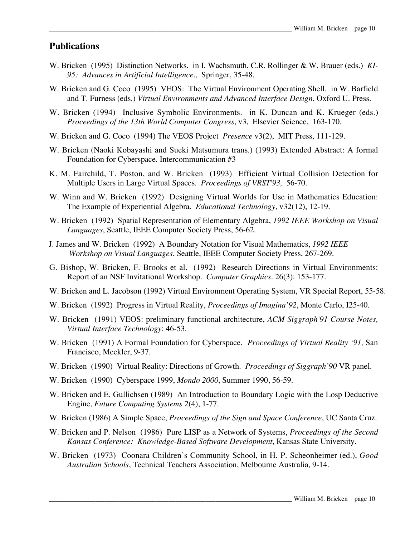#### **Publications**

- W. Bricken (1995) Distinction Networks. in I. Wachsmuth, C.R. Rollinger & W. Brauer (eds.) *KI-95: Advances in Artificial Intelligence*., Springer, 35-48.
- W. Bricken and G. Coco (1995) VEOS: The Virtual Environment Operating Shell. in W. Barfield and T. Furness (eds.) *Virtual Environments and Advanced Interface Design*, Oxford U. Press.
- W. Bricken (1994) Inclusive Symbolic Environments. in K. Duncan and K. Krueger (eds.) *Proceedings of the 13th World Computer Congress*, v3, Elsevier Science, 163-170.
- W. Bricken and G. Coco (1994) The VEOS Project *Presence* v3(2), MIT Press, 111-129.
- W. Bricken (Naoki Kobayashi and Sueki Matsumura trans.) (1993) Extended Abstract: A formal Foundation for Cyberspace. Intercommunication #3
- K. M. Fairchild, T. Poston, and W. Bricken (1993) Efficient Virtual Collision Detection for Multiple Users in Large Virtual Spaces. *Proceedings of VRST'93,* 56-70.
- W. Winn and W. Bricken (1992) Designing Virtual Worlds for Use in Mathematics Education: The Example of Experiential Algebra. *Educational Technology*, v32(12), 12-19.
- W. Bricken (1992) Spatial Representation of Elementary Algebra, *1992 IEEE Workshop on Visual Languages*, Seattle, IEEE Computer Society Press, 56-62.
- J. James and W. Bricken (1992) A Boundary Notation for Visual Mathematics, *1992 IEEE Workshop on Visual Languages*, Seattle, IEEE Computer Society Press, 267-269.
- G. Bishop, W. Bricken, F. Brooks et al. (1992) Research Directions in Virtual Environments: Report of an NSF Invitational Workshop. *Computer Graphics*. 26(3): 153-177.
- W. Bricken and L. Jacobson (1992) Virtual Environment Operating System, VR Special Report, 55-58.
- W. Bricken (1992) Progress in Virtual Reality, *Proceedings of Imagina'92*, Monte Carlo, I25-40.
- W. Bricken (1991) VEOS: preliminary functional architecture, *ACM Siggraph'91 Course Notes, Virtual Interface Technology*: 46-53.
- W. Bricken (1991) A Formal Foundation for Cyberspace. *Proceedings of Virtual Reality '91,* San Francisco, Meckler, 9-37.
- W. Bricken (1990) Virtual Reality: Directions of Growth. *Proceedings of Siggraph'90* VR panel.
- W. Bricken (1990) Cyberspace 1999, *Mondo 2000*, Summer 1990, 56-59.
- W. Bricken and E. Gullichsen (1989) An Introduction to Boundary Logic with the Losp Deductive Engine, *Future Computing Systems* 2(4), 1-77.
- W. Bricken (1986) A Simple Space, *Proceedings of the Sign and Space Conference*, UC Santa Cruz.
- W. Bricken and P. Nelson (1986) Pure LISP as a Network of Systems, *Proceedings of the Second Kansas Conference: Knowledge-Based Software Development*, Kansas State University.
- W. Bricken (1973) Coonara Children's Community School, in H. P. Scheonheimer (ed.), *Good Australian Schools*, Technical Teachers Association, Melbourne Australia, 9-14.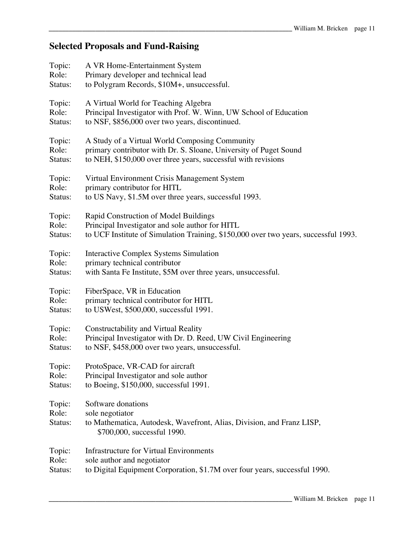# **Selected Proposals and Fund-Raising**

| Topic:                     | A VR Home-Entertainment System                                                                                                                |
|----------------------------|-----------------------------------------------------------------------------------------------------------------------------------------------|
| Role:                      | Primary developer and technical lead                                                                                                          |
| Status:                    | to Polygram Records, \$10M+, unsuccessful.                                                                                                    |
| Topic:                     | A Virtual World for Teaching Algebra                                                                                                          |
| Role:                      | Principal Investigator with Prof. W. Winn, UW School of Education                                                                             |
| Status:                    | to NSF, \$856,000 over two years, discontinued.                                                                                               |
| Topic:                     | A Study of a Virtual World Composing Community                                                                                                |
| Role:                      | primary contributor with Dr. S. Sloane, University of Puget Sound                                                                             |
| Status:                    | to NEH, \$150,000 over three years, successful with revisions                                                                                 |
| Topic:                     | Virtual Environment Crisis Management System                                                                                                  |
| Role:                      | primary contributor for HITL                                                                                                                  |
| Status:                    | to US Navy, \$1.5M over three years, successful 1993.                                                                                         |
| Topic:                     | Rapid Construction of Model Buildings                                                                                                         |
| Role:                      | Principal Investigator and sole author for HITL                                                                                               |
| Status:                    | to UCF Institute of Simulation Training, \$150,000 over two years, successful 1993.                                                           |
| Topic:                     | <b>Interactive Complex Systems Simulation</b>                                                                                                 |
| Role:                      | primary technical contributor                                                                                                                 |
| Status:                    | with Santa Fe Institute, \$5M over three years, unsuccessful.                                                                                 |
| Topic:                     | FiberSpace, VR in Education                                                                                                                   |
| Role:                      | primary technical contributor for HITL                                                                                                        |
| Status:                    | to USWest, \$500,000, successful 1991.                                                                                                        |
| Topic:                     | Constructability and Virtual Reality                                                                                                          |
| Role:                      | Principal Investigator with Dr. D. Reed, UW Civil Engineering                                                                                 |
| Status:                    | to NSF, \$458,000 over two years, unsuccessful.                                                                                               |
| Topic:                     | ProtoSpace, VR-CAD for aircraft                                                                                                               |
| Role:                      | Principal Investigator and sole author                                                                                                        |
| Status:                    | to Boeing, \$150,000, successful 1991.                                                                                                        |
| Topic:<br>Role:<br>Status: | Software donations<br>sole negotiator<br>to Mathematica, Autodesk, Wavefront, Alias, Division, and Franz LISP,<br>\$700,000, successful 1990. |
| Topic:                     | Infrastructure for Virtual Environments                                                                                                       |
| Role:                      | sole author and negotiator                                                                                                                    |
| Status:                    | to Digital Equipment Corporation, \$1.7M over four years, successful 1990.                                                                    |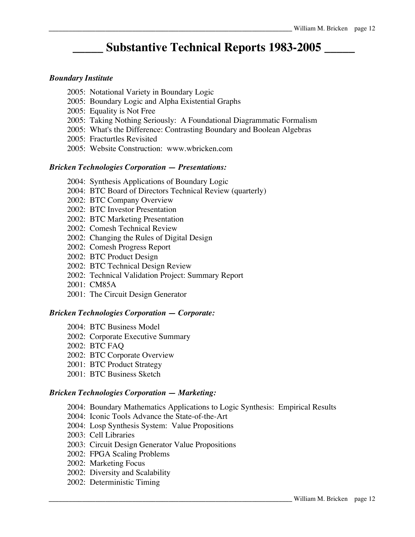# **\_\_\_\_\_ Substantive Technical Reports 1983-2005 \_\_\_\_\_**

#### *Boundary Institute*

- 2005: Notational Variety in Boundary Logic
- 2005: Boundary Logic and Alpha Existential Graphs
- 2005: Equality is Not Free
- 2005: Taking Nothing Seriously: A Foundational Diagrammatic Formalism
- 2005: What's the Difference: Contrasting Boundary and Boolean Algebras
- 2005: Fracturtles Revisited
- 2005: Website Construction: www.wbricken.com

#### *Bricken Technologies Corporation — Presentations:*

- 2004: Synthesis Applications of Boundary Logic
- 2004: BTC Board of Directors Technical Review (quarterly)
- 2002: BTC Company Overview
- 2002: BTC Investor Presentation
- 2002: BTC Marketing Presentation
- 2002: Comesh Technical Review
- 2002: Changing the Rules of Digital Design
- 2002: Comesh Progress Report
- 2002: BTC Product Design
- 2002: BTC Technical Design Review
- 2002: Technical Validation Project: Summary Report
- 2001: CM85A
- 2001: The Circuit Design Generator

#### *Bricken Technologies Corporation — Corporate:*

- 2004: BTC Business Model
- 2002: Corporate Executive Summary
- 2002: BTC FAQ
- 2002: BTC Corporate Overview
- 2001: BTC Product Strategy
- 2001: BTC Business Sketch

#### *Bricken Technologies Corporation — Marketing:*

- 2004: Boundary Mathematics Applications to Logic Synthesis: Empirical Results
- 2004: Iconic Tools Advance the State-of-the-Art
- 2004: Losp Synthesis System: Value Propositions
- 2003: Cell Libraries
- 2003: Circuit Design Generator Value Propositions
- 2002: FPGA Scaling Problems
- 2002: Marketing Focus
- 2002: Diversity and Scalability
- 2002: Deterministic Timing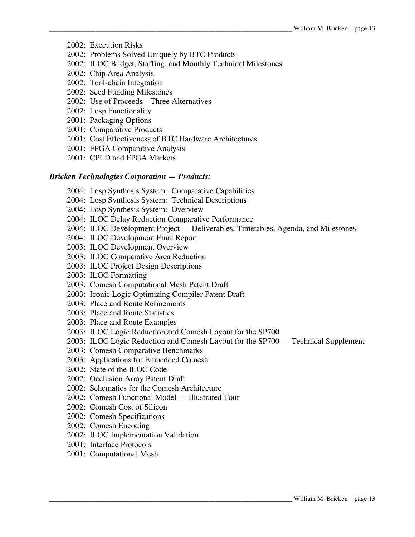- 2002: Execution Risks
- 2002: Problems Solved Uniquely by BTC Products
- 2002: ILOC Budget, Staffing, and Monthly Technical Milestones
- 2002: Chip Area Analysis
- 2002: Tool-chain Integration
- 2002: Seed Funding Milestones
- 2002: Use of Proceeds Three Alternatives
- 2002: Losp Functionality
- 2001: Packaging Options
- 2001: Comparative Products
- 2001: Cost Effectiveness of BTC Hardware Architectures
- 2001: FPGA Comparative Analysis
- 2001: CPLD and FPGA Markets

#### *Bricken Technologies Corporation — Products:*

- 2004: Losp Synthesis System: Comparative Capabilities
- 2004: Losp Synthesis System: Technical Descriptions
- 2004: Losp Synthesis System: Overview
- 2004: ILOC Delay Reduction Comparative Performance
- 2004: ILOC Development Project Deliverables, Timetables, Agenda, and Milestones
- 2004: ILOC Development Final Report
- 2003: ILOC Development Overview
- 2003: ILOC Comparative Area Reduction
- 2003: ILOC Project Design Descriptions
- 2003: ILOC Formatting
- 2003: Comesh Computational Mesh Patent Draft
- 2003: Iconic Logic Optimizing Compiler Patent Draft
- 2003: Place and Route Refinements
- 2003: Place and Route Statistics
- 2003: Place and Route Examples
- 2003: ILOC Logic Reduction and Comesh Layout for the SP700
- 2003: ILOC Logic Reduction and Comesh Layout for the SP700 Technical Supplement
- 2003: Comesh Comparative Benchmarks
- 2003: Applications for Embedded Comesh
- 2002: State of the ILOC Code
- 2002: Occlusion Array Patent Draft
- 2002: Schematics for the Comesh Architecture
- 2002: Comesh Functional Model Illustrated Tour
- 2002: Comesh Cost of Silicon
- 2002: Comesh Specifications
- 2002: Comesh Encoding
- 2002: ILOC Implementation Validation
- 2001: Interface Protocols
- 2001: Computational Mesh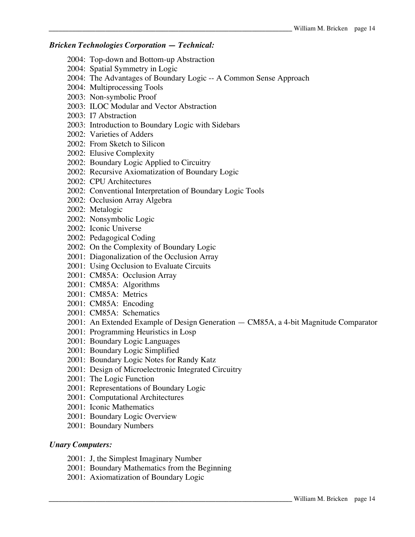#### *Bricken Technologies Corporation — Technical:*

- 2004: Top-down and Bottom-up Abstraction
- 2004: Spatial Symmetry in Logic
- 2004: The Advantages of Boundary Logic -- A Common Sense Approach
- 2004: Multiprocessing Tools
- 2003: Non-symbolic Proof
- 2003: ILOC Modular and Vector Abstraction
- 2003: I7 Abstraction
- 2003: Introduction to Boundary Logic with Sidebars
- 2002: Varieties of Adders
- 2002: From Sketch to Silicon
- 2002: Elusive Complexity
- 2002: Boundary Logic Applied to Circuitry
- 2002: Recursive Axiomatization of Boundary Logic
- 2002: CPU Architectures
- 2002: Conventional Interpretation of Boundary Logic Tools
- 2002: Occlusion Array Algebra
- 2002: Metalogic
- 2002: Nonsymbolic Logic
- 2002: Iconic Universe
- 2002: Pedagogical Coding
- 2002: On the Complexity of Boundary Logic
- 2001: Diagonalization of the Occlusion Array
- 2001: Using Occlusion to Evaluate Circuits
- 2001: CM85A: Occlusion Array
- 2001: CM85A: Algorithms
- 2001: CM85A: Metrics
- 2001: CM85A: Encoding
- 2001: CM85A: Schematics
- 2001: An Extended Example of Design Generation CM85A, a 4-bit Magnitude Comparator
- 2001: Programming Heuristics in Losp
- 2001: Boundary Logic Languages
- 2001: Boundary Logic Simplified
- 2001: Boundary Logic Notes for Randy Katz
- 2001: Design of Microelectronic Integrated Circuitry
- 2001: The Logic Function
- 2001: Representations of Boundary Logic
- 2001: Computational Architectures
- 2001: Iconic Mathematics
- 2001: Boundary Logic Overview
- 2001: Boundary Numbers

#### *Unary Computers:*

- 2001: J, the Simplest Imaginary Number
- 2001: Boundary Mathematics from the Beginning
- 2001: Axiomatization of Boundary Logic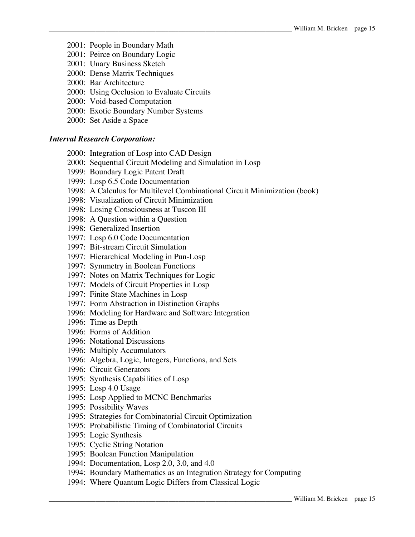- 2001: People in Boundary Math
- 2001: Peirce on Boundary Logic
- 2001: Unary Business Sketch
- 2000: Dense Matrix Techniques
- 2000: Bar Architecture
- 2000: Using Occlusion to Evaluate Circuits
- 2000: Void-based Computation
- 2000: Exotic Boundary Number Systems
- 2000: Set Aside a Space

#### *Interval Research Corporation:*

- 2000: Integration of Losp into CAD Design
- 2000: Sequential Circuit Modeling and Simulation in Losp
- 1999: Boundary Logic Patent Draft
- 1999: Losp 6.5 Code Documentation
- 1998: A Calculus for Multilevel Combinational Circuit Minimization (book)
- 1998: Visualization of Circuit Minimization
- 1998: Losing Consciousness at Tuscon III
- 1998: A Question within a Question
- 1998: Generalized Insertion
- 1997: Losp 6.0 Code Documentation
- 1997: Bit-stream Circuit Simulation
- 1997: Hierarchical Modeling in Pun-Losp
- 1997: Symmetry in Boolean Functions
- 1997: Notes on Matrix Techniques for Logic
- 1997: Models of Circuit Properties in Losp
- 1997: Finite State Machines in Losp
- 1997: Form Abstraction in Distinction Graphs
- 1996: Modeling for Hardware and Software Integration
- 1996: Time as Depth
- 1996: Forms of Addition
- 1996: Notational Discussions
- 1996: Multiply Accumulators
- 1996: Algebra, Logic, Integers, Functions, and Sets
- 1996: Circuit Generators
- 1995: Synthesis Capabilities of Losp
- 1995: Losp 4.0 Usage
- 1995: Losp Applied to MCNC Benchmarks
- 1995: Possibility Waves
- 1995: Strategies for Combinatorial Circuit Optimization
- 1995: Probabilistic Timing of Combinatorial Circuits
- 1995: Logic Synthesis
- 1995: Cyclic String Notation
- 1995: Boolean Function Manipulation
- 1994: Documentation, Losp 2.0, 3.0, and 4.0
- 1994: Boundary Mathematics as an Integration Strategy for Computing
- 1994: Where Quantum Logic Differs from Classical Logic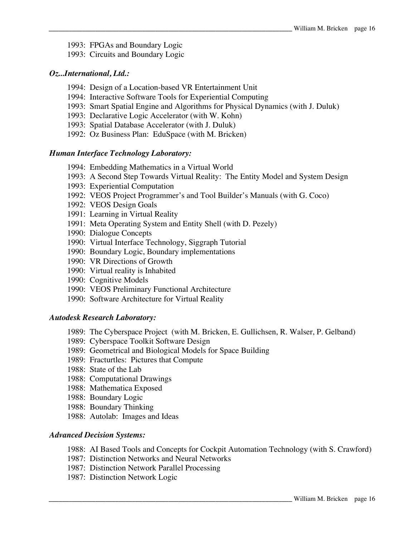- 1993: FPGAs and Boundary Logic
- 1993: Circuits and Boundary Logic

#### *Oz...International, Ltd.:*

- 1994: Design of a Location-based VR Entertainment Unit
- 1994: Interactive Software Tools for Experiential Computing
- 1993: Smart Spatial Engine and Algorithms for Physical Dynamics (with J. Duluk)
- 1993: Declarative Logic Accelerator (with W. Kohn)
- 1993: Spatial Database Accelerator (with J. Duluk)
- 1992: Oz Business Plan: EduSpace (with M. Bricken)

#### *Human Interface Technology Laboratory:*

- 1994: Embedding Mathematics in a Virtual World
- 1993: A Second Step Towards Virtual Reality: The Entity Model and System Design
- 1993: Experiential Computation
- 1992: VEOS Project Programmer's and Tool Builder's Manuals (with G. Coco)
- 1992: VEOS Design Goals
- 1991: Learning in Virtual Reality
- 1991: Meta Operating System and Entity Shell (with D. Pezely)
- 1990: Dialogue Concepts
- 1990: Virtual Interface Technology, Siggraph Tutorial
- 1990: Boundary Logic, Boundary implementations
- 1990: VR Directions of Growth
- 1990: Virtual reality is Inhabited
- 1990: Cognitive Models
- 1990: VEOS Preliminary Functional Architecture
- 1990: Software Architecture for Virtual Reality

#### *Autodesk Research Laboratory:*

- 1989: The Cyberspace Project (with M. Bricken, E. Gullichsen, R. Walser, P. Gelband)
- 1989: Cyberspace Toolkit Software Design
- 1989: Geometrical and Biological Models for Space Building
- 1989: Fracturtles: Pictures that Compute
- 1988: State of the Lab
- 1988: Computational Drawings
- 1988: Mathematica Exposed
- 1988: Boundary Logic
- 1988: Boundary Thinking
- 1988: Autolab: Images and Ideas

#### *Advanced Decision Systems:*

- 1988: AI Based Tools and Concepts for Cockpit Automation Technology (with S. Crawford)
- 1987: Distinction Networks and Neural Networks
- 1987: Distinction Network Parallel Processing
- 1987: Distinction Network Logic